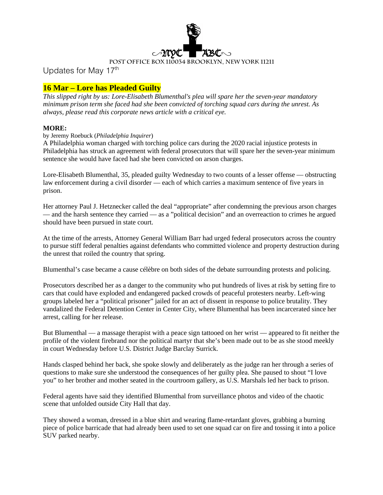

Updates for May 17th

# **16 Mar – Lore has Pleaded Guilty**

*This slipped right by us: Lore-Elisabeth Blumenthal's plea will spare her the seven-year mandatory minimum prison term she faced had she been convicted of torching squad cars during the unrest. As always, please read this corporate news article with a critical eye.*

#### **MORE:**

#### by Jeremy Roebuck (*Philadelphia Inquirer*)

A Philadelphia woman charged with torching police cars during the 2020 racial injustice protests in Philadelphia has struck an agreement with federal prosecutors that will spare her the seven-year minimum sentence she would have faced had she been convicted on arson charges.

Lore-Elisabeth Blumenthal, 35, pleaded guilty Wednesday to two counts of a lesser offense — obstructing law enforcement during a civil disorder — each of which carries a maximum sentence of five years in prison.

Her attorney Paul J. Hetznecker called the deal "appropriate" after condemning the previous arson charges — and the harsh sentence they carried — as a "political decision" and an overreaction to crimes he argued should have been pursued in state court.

At the time of the arrests, Attorney General William Barr had urged federal prosecutors across the country to pursue stiff federal penalties against defendants who committed violence and property destruction during the unrest that roiled the country that spring.

Blumenthal's case became a cause célèbre on both sides of the debate surrounding protests and policing.

Prosecutors described her as a danger to the community who put hundreds of lives at risk by setting fire to cars that could have exploded and endangered packed crowds of peaceful protesters nearby. Left-wing groups labeled her a "political prisoner" jailed for an act of dissent in response to police brutality. They vandalized the Federal Detention Center in Center City, where Blumenthal has been incarcerated since her arrest, calling for her release.

But Blumenthal — a massage therapist with a peace sign tattooed on her wrist — appeared to fit neither the profile of the violent firebrand nor the political martyr that she's been made out to be as she stood meekly in court Wednesday before U.S. District Judge Barclay Surrick.

Hands clasped behind her back, she spoke slowly and deliberately as the judge ran her through a series of questions to make sure she understood the consequences of her guilty plea. She paused to shout "I love you" to her brother and mother seated in the courtroom gallery, as U.S. Marshals led her back to prison.

Federal agents have said they identified Blumenthal from surveillance photos and video of the chaotic scene that unfolded outside City Hall that day.

They showed a woman, dressed in a blue shirt and wearing flame-retardant gloves, grabbing a burning piece of police barricade that had already been used to set one squad car on fire and tossing it into a police SUV parked nearby.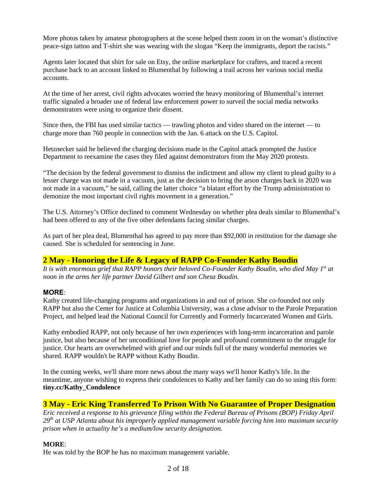More photos taken by amateur photographers at the scene helped them zoom in on the woman's distinctive peace-sign tattoo and T-shirt she was wearing with the slogan "Keep the immigrants, deport the racists."

Agents later located that shirt for sale on Etsy, the online marketplace for crafters, and traced a recent purchase back to an account linked to Blumenthal by following a trail across her various social media accounts.

At the time of her arrest, civil rights advocates worried the heavy monitoring of Blumenthal's internet traffic signaled a broader use of federal law enforcement power to surveil the social media networks demonstrators were using to organize their dissent.

Since then, the FBI has used similar tactics — trawling photos and video shared on the internet — to charge more than 760 people in connection with the Jan. 6 attack on the U.S. Capitol.

Hetznecker said he believed the charging decisions made in the Capitol attack prompted the Justice Department to reexamine the cases they filed against demonstrators from the May 2020 protests.

"The decision by the federal government to dismiss the indictment and allow my client to plead guilty to a lesser charge was not made in a vacuum, just as the decision to bring the arson charges back in 2020 was not made in a vacuum," he said, calling the latter choice "a blatant effort by the Trump administration to demonize the most important civil rights movement in a generation."

The U.S. Attorney's Office declined to comment Wednesday on whether plea deals similar to Blumenthal's had been offered to any of the five other defendants facing similar charges.

As part of her plea deal, Blumenthal has agreed to pay more than \$92,000 in restitution for the damage she caused. She is scheduled for sentencing in June.

# **2 May - Honoring the Life & Legacy of RAPP Co-Founder Kathy Boudin**

*It is with enormous grief that RAPP honors their beloved Co-Founder Kathy Boudin, who died May 1st at noon in the arms her life partner David Gilbert and son Chesa Boudin.*

#### **MORE**:

Kathy created life-changing programs and organizations in and out of prison. She co-founded not only RAPP but also the Center for Justice at Columbia University, was a close advisor to the Parole Preparation Project, and helped lead the National Council for Currently and Formerly Incarcerated Women and Girls.

Kathy embodied RAPP, not only because of her own experiences with long-term incarceration and parole justice, but also because of her unconditional love for people and profound commitment to the struggle for justice. Our hearts are overwhelmed with grief and our minds full of the many wonderful memories we shared. RAPP wouldn't be RAPP without Kathy Boudin.

In the coming weeks, we'll share more news about the many ways we'll honor Kathy's life. In the meantime, anyone wishing to express their condolences to Kathy and her family can do so using this form: **tiny.cc/Kathy\_Condolence**

# **3 May - Eric King Transferred To Prison With No Guarantee of Proper Designation**

*Eric received a response to his grievance filing within the Federal Bureau of Prisons (BOP) Friday April 29th at USP Atlanta about his improperly applied management variable forcing him into maximum security prison when in actuality he's a medium/low security designation.*

# **MORE**:

He was told by the BOP he has no maximum management variable.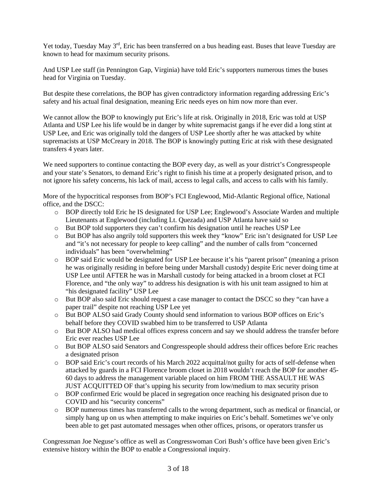Yet today, Tuesday May 3rd, Eric has been transferred on a bus heading east. Buses that leave Tuesday are known to head for maximum security prisons.

And USP Lee staff (in Pennington Gap, Virginia) have told Eric's supporters numerous times the buses head for Virginia on Tuesday.

But despite these correlations, the BOP has given contradictory information regarding addressing Eric's safety and his actual final designation, meaning Eric needs eyes on him now more than ever.

We cannot allow the BOP to knowingly put Eric's life at risk. Originally in 2018, Eric was told at USP Atlanta and USP Lee his life would be in danger by white supremacist gangs if he ever did a long stint at USP Lee, and Eric was originally told the dangers of USP Lee shortly after he was attacked by white supremacists at USP McCreary in 2018. The BOP is knowingly putting Eric at risk with these designated transfers 4 years later.

We need supporters to continue contacting the BOP every day, as well as your district's Congresspeople and your state's Senators, to demand Eric's right to finish his time at a properly designated prison, and to not ignore his safety concerns, his lack of mail, access to legal calls, and access to calls with his family.

More of the hypocritical responses from BOP's FCI Englewood, Mid-Atlantic Regional office, National office, and the DSCC:

- o BOP directly told Eric he IS designated for USP Lee; Englewood's Associate Warden and multiple Lieutenants at Englewood (including Lt. Quezada) and USP Atlanta have said so
- $\circ$  But BOP told supporters they can't confirm his designation until he reaches USP Lee
- o But BOP has also angrily told supporters this week they "know" Eric isn't designated for USP Lee and "it's not necessary for people to keep calling" and the number of calls from "concerned individuals" has been "overwhelming"
- $\circ$  BOP said Eric would be designated for USP Lee because it's his "parent prison" (meaning a prison he was originally residing in before being under Marshall custody) despite Eric never doing time at USP Lee until AFTER he was in Marshall custody for being attacked in a broom closet at FCI Florence, and "the only way" to address his designation is with his unit team assigned to him at "his designated facility" USP Lee
- o But BOP also said Eric should request a case manager to contact the DSCC so they "can have a paper trail" despite not reaching USP Lee yet
- o But BOP ALSO said Grady County should send information to various BOP offices on Eric's behalf before they COVID swabbed him to be transferred to USP Atlanta
- o But BOP ALSO had medical offices express concern and say we should address the transfer before Eric ever reaches USP Lee
- o But BOP ALSO said Senators and Congresspeople should address their offices before Eric reaches a designated prison
- o BOP said Eric's court records of his March 2022 acquittal/not guilty for acts of self-defense when attacked by guards in a FCI Florence broom closet in 2018 wouldn't reach the BOP for another 45- 60 days to address the management variable placed on him FROM THE ASSAULT HE WAS JUST ACQUITTED OF that's upping his security from low/medium to max security prison
- $\circ$  BOP confirmed Eric would be placed in segregation once reaching his designated prison due to COVID and his "security concerns"
- $\circ$  BOP numerous times has transferred calls to the wrong department, such as medical or financial, or simply hang up on us when attempting to make inquiries on Eric's behalf. Sometimes we've only been able to get past automated messages when other offices, prisons, or operators transfer us

Congressman Joe Neguse's office as well as Congresswoman Cori Bush's office have been given Eric's extensive history within the BOP to enable a Congressional inquiry.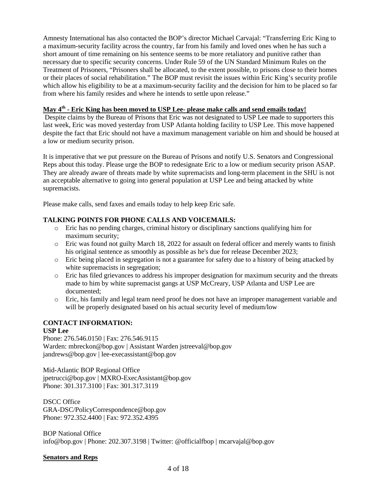Amnesty International has also contacted the BOP's director Michael Carvajal: "Transferring Eric King to a maximum-security facility across the country, far from his family and loved ones when he has such a short amount of time remaining on his sentence seems to be more retaliatory and punitive rather than necessary due to specific security concerns. Under Rule 59 of the UN Standard Minimum Rules on the Treatment of Prisoners, "Prisoners shall be allocated, to the extent possible, to prisons close to their homes or their places of social rehabilitation." The BOP must revisit the issues within Eric King's security profile which allow his eligibility to be at a maximum-security facility and the decision for him to be placed so far from where his family resides and where he intends to settle upon release."

# **May 4th - Eric King has been moved to USP Lee- please make calls and send emails today!**

Despite claims by the Bureau of Prisons that Eric was not designated to USP Lee made to supporters this last week, Eric was moved yesterday from USP Atlanta holding facility to USP Lee. This move happened despite the fact that Eric should not have a maximum management variable on him and should be housed at a low or medium security prison.

It is imperative that we put pressure on the Bureau of Prisons and notify U.S. Senators and Congressional Reps about this today. Please urge the BOP to redesignate Eric to a low or medium security prison ASAP. They are already aware of threats made by white supremacists and long-term placement in the SHU is not an acceptable alternative to going into general population at USP Lee and being attacked by white supremacists.

Please make calls, send faxes and emails today to help keep Eric safe.

# **TALKING POINTS FOR PHONE CALLS AND VOICEMAILS:**

- o Eric has no pending charges, criminal history or disciplinary sanctions qualifying him for maximum security;
- o Eric was found not guilty March 18, 2022 for assault on federal officer and merely wants to finish his original sentence as smoothly as possible as he's due for release December 2023;
- o Eric being placed in segregation is not a guarantee for safety due to a history of being attacked by white supremacists in segregation;
- $\circ$  Eric has filed grievances to address his improper designation for maximum security and the threats made to him by white supremacist gangs at USP McCreary, USP Atlanta and USP Lee are documented;
- o Eric, his family and legal team need proof he does not have an improper management variable and will be properly designated based on his actual security level of medium/low

# **CONTACT INFORMATION:**

#### **USP Lee**

Phone: 276.546.0150 | Fax: 276.546.9115 Warden: mbreckon@bop.gov | Assistant Warden jstreeval@bop.gov jandrews@bop.gov | lee-execassistant@bop.gov

Mid-Atlantic BOP Regional Office jpetrucci@bop.gov | MXRO-ExecAssistant@bop.gov Phone: 301.317.3100 | Fax: 301.317.3119

DSCC Office GRA-DSC/PolicyCorrespondence@bop.gov Phone: 972.352.4400 | Fax: 972.352.4395

BOP National Office info@bop.gov | Phone: 202.307.3198 | Twitter: @officialfbop | mcarvajal@bop.gov

# **Senators and Reps**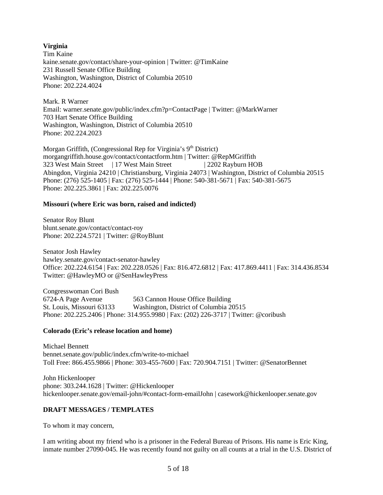# **Virginia**

Tim Kaine kaine.senate.gov/contact/share-your-opinion | Twitter: @TimKaine 231 Russell Senate Office Building Washington, Washington, District of Columbia 20510 Phone: 202.224.4024

Mark. R Warner Email: warner.senate.gov/public/index.cfm?p=ContactPage | Twitter: @MarkWarner 703 Hart Senate Office Building Washington, Washington, District of Columbia 20510 Phone: 202.224.2023

Morgan Griffith, (Congressional Rep for Virginia's  $9<sup>th</sup>$  District) morgangriffith.house.gov/contact/contactform.htm | Twitter: @RepMGriffith 323 West Main Street | 17 West Main Street | 2202 Rayburn HOB Abingdon, Virginia 24210 | Christiansburg, Virginia 24073 | Washington, District of Columbia 20515 Phone: (276) 525-1405 | Fax: (276) 525-1444 | Phone: 540-381-5671 | Fax: 540-381-5675 Phone: 202.225.3861 | Fax: 202.225.0076

#### **Missouri (where Eric was born, raised and indicted)**

Senator Roy Blunt blunt.senate.gov/contact/contact-roy Phone: 202.224.5721 | Twitter: @RoyBlunt

Senator Josh Hawley hawley.senate.gov/contact-senator-hawley Office: 202.224.6154 | Fax: 202.228.0526 | Fax: 816.472.6812 | Fax: 417.869.4411 | Fax: 314.436.8534 Twitter: @HawleyMO or @SenHawleyPress

Congresswoman Cori Bush 6724-A Page Avenue 563 Cannon House Office Building St. Louis, Missouri 63133 Washington, District of Columbia 20515 Phone: 202.225.2406 | Phone: 314.955.9980 | Fax: (202) 226-3717 | Twitter: @coribush

# **Colorado (Eric's release location and home)**

Michael Bennett bennet.senate.gov/public/index.cfm/write-to-michael Toll Free: 866.455.9866 | Phone: 303-455-7600 | Fax: 720.904.7151 | Twitter: @SenatorBennet

John Hickenlooper phone: 303.244.1628 | Twitter: @Hickenlooper hickenlooper.senate.gov/email-john/#contact-form-emailJohn | casework@hickenlooper.senate.gov

# **DRAFT MESSAGES / TEMPLATES**

To whom it may concern,

I am writing about my friend who is a prisoner in the Federal Bureau of Prisons. His name is Eric King, inmate number 27090-045. He was recently found not guilty on all counts at a trial in the U.S. District of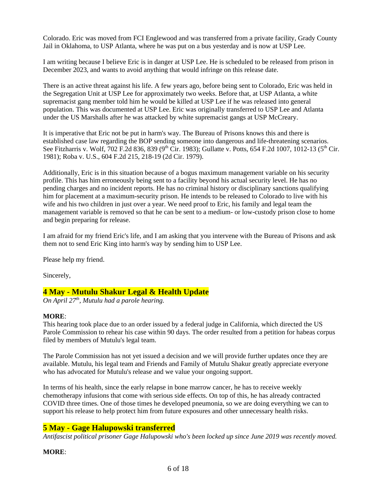Colorado. Eric was moved from FCI Englewood and was transferred from a private facility, Grady County Jail in Oklahoma, to USP Atlanta, where he was put on a bus yesterday and is now at USP Lee.

I am writing because I believe Eric is in danger at USP Lee. He is scheduled to be released from prison in December 2023, and wants to avoid anything that would infringe on this release date.

There is an active threat against his life. A few years ago, before being sent to Colorado, Eric was held in the Segregation Unit at USP Lee for approximately two weeks. Before that, at USP Atlanta, a white supremacist gang member told him he would be killed at USP Lee if he was released into general population. This was documented at USP Lee. Eric was originally transferred to USP Lee and Atlanta under the US Marshalls after he was attacked by white supremacist gangs at USP McCreary.

It is imperative that Eric not be put in harm's way. The Bureau of Prisons knows this and there is established case law regarding the BOP sending someone into dangerous and life-threatening scenarios. See Fitzharris v. Wolf, 702 F.2d 836, 839 (9<sup>th</sup> Cir. 1983); Gullatte v. Potts, 654 F.2d 1007, 1012-13 (5<sup>th</sup> Cir. 1981); Roba v. U.S., 604 F.2d 215, 218-19 (2d Cir. 1979).

Additionally, Eric is in this situation because of a bogus maximum management variable on his security profile. This has him erroneously being sent to a facility beyond his actual security level. He has no pending charges and no incident reports. He has no criminal history or disciplinary sanctions qualifying him for placement at a maximum-security prison. He intends to be released to Colorado to live with his wife and his two children in just over a year. We need proof to Eric, his family and legal team the management variable is removed so that he can be sent to a medium- or low-custody prison close to home and begin preparing for release.

I am afraid for my friend Eric's life, and I am asking that you intervene with the Bureau of Prisons and ask them not to send Eric King into harm's way by sending him to USP Lee.

Please help my friend.

Sincerely,

# **4 May - Mutulu Shakur Legal & Health Update**

*On April 27th, Mutulu had a parole hearing.*

# **MORE**:

This hearing took place due to an order issued by a federal judge in California, which directed the US Parole Commission to rehear his case within 90 days. The order resulted from a petition for habeas corpus filed by members of Mutulu's legal team.

The Parole Commission has not yet issued a decision and we will provide further updates once they are available. Mutulu, his legal team and Friends and Family of Mutulu Shakur greatly appreciate everyone who has advocated for Mutulu's release and we value your ongoing support.

In terms of his health, since the early relapse in bone marrow cancer, he has to receive weekly chemotherapy infusions that come with serious side effects. On top of this, he has already contracted COVID three times. One of those times he developed pneumonia, so we are doing everything we can to support his release to help protect him from future exposures and other unnecessary health risks.

# **5 May - Gage Halupowski transferred**

*Antifascist political prisoner Gage Halupowski who's been locked up since June 2019 was recently moved.*

# **MORE**: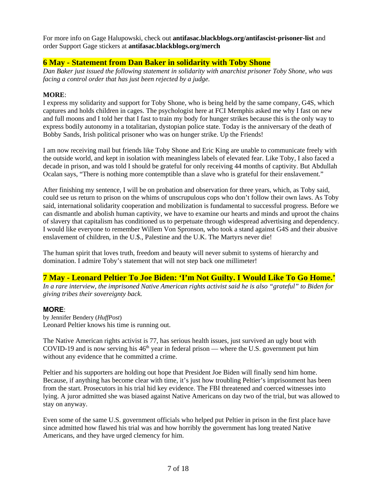For more info on Gage Halupowski, check out **antifasac.blackblogs.org/antifascist-prisoner-list** and order Support Gage stickers at **antifasac.blackblogs.org/merch**

# **6 May - Statement from Dan Baker in solidarity with Toby Shone**

*Dan Baker just issued the following statement in solidarity with anarchist prisoner Toby Shone, who was facing a control order that has just been rejected by a judge.*

# **MORE**:

I express my solidarity and support for Toby Shone, who is being held by the same company, G4S, which captures and holds children in cages. The psychologist here at FCI Memphis asked me why I fast on new and full moons and I told her that I fast to train my body for hunger strikes because this is the only way to express bodily autonomy in a totalitarian, dystopian police state. Today is the anniversary of the death of Bobby Sands, Irish political prisoner who was on hunger strike. Up the Friends!

I am now receiving mail but friends like Toby Shone and Eric King are unable to communicate freely with the outside world, and kept in isolation with meaningless labels of elevated fear. Like Toby, I also faced a decade in prison, and was told I should be grateful for only receiving 44 months of captivity. But Abdullah Ocalan says, "There is nothing more contemptible than a slave who is grateful for their enslavement."

After finishing my sentence, I will be on probation and observation for three years, which, as Toby said, could see us return to prison on the whims of unscrupulous cops who don't follow their own laws. As Toby said, international solidarity cooperation and mobilization is fundamental to successful progress. Before we can dismantle and abolish human captivity, we have to examine our hearts and minds and uproot the chains of slavery that capitalism has conditioned us to perpetuate through widespread advertising and dependency. I would like everyone to remember Willem Von Spronson, who took a stand against G4S and their abusive enslavement of children, in the U.\$., Palestine and the U.K. The Martyrs never die!

The human spirit that loves truth, freedom and beauty will never submit to systems of hierarchy and domination. I admire Toby's statement that will not step back one millimeter!

# **7 May - Leonard Peltier To Joe Biden: 'I'm Not Guilty. I Would Like To Go Home.'**

*In a rare interview, the imprisoned Native American rights activist said he is also "grateful" to Biden for giving tribes their sovereignty back.*

# **MORE**:

by Jennifer Bendery (*HuffPost*) Leonard Peltier knows his time is running out.

The Native American rights activist is 77, has serious health issues, just survived an ugly bout with COVID-19 and is now serving his  $46<sup>th</sup>$  year in federal prison — where the U.S. government put him without any evidence that he committed a crime.

Peltier and his supporters are holding out hope that President Joe Biden will finally send him home. Because, if anything has become clear with time, it's just how troubling Peltier's imprisonment has been from the start. Prosecutors in his trial hid key evidence. The FBI threatened and coerced witnesses into lying. A juror admitted she was biased against Native Americans on day two of the trial, but was allowed to stay on anyway.

Even some of the same U.S. government officials who helped put Peltier in prison in the first place have since admitted how flawed his trial was and how horribly the government has long treated Native Americans, and they have urged clemency for him.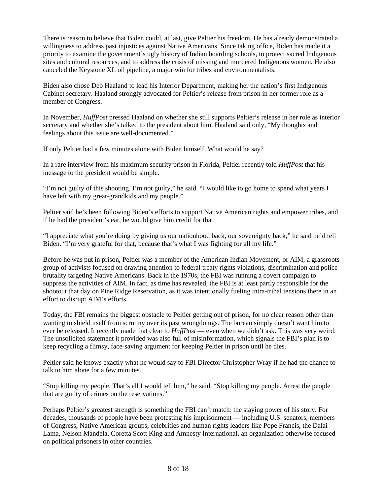There is reason to believe that Biden could, at last, give Peltier his freedom. He has already demonstrated a willingness to address past injustices against Native Americans. Since taking office, Biden has made it a priority to examine the government's ugly history of Indian boarding schools, to protect sacred Indigenous sites and cultural resources, and to address the crisis of missing and murdered Indigenous women. He also canceled the Keystone XL oil pipeline, a major win for tribes and environmentalists.

Biden also chose Deb Haaland to lead his Interior Department, making her the nation's first Indigenous Cabinet secretary. Haaland strongly advocated for Peltier's release from prison in her former role as a member of Congress.

In November, *HuffPost* pressed Haaland on whether she still supports Peltier's release in her role as interior secretary and whether she's talked to the president about him. Haaland said only, "My thoughts and feelings about this issue are well-documented."

If only Peltier had a few minutes alone with Biden himself. What would he say?

In a rare interview from his maximum security prison in Florida, Peltier recently told *HuffPost* that his message to the president would be simple.

"I'm not guilty of this shooting. I'm not guilty," he said. "I would like to go home to spend what years I have left with my great-grandkids and my people."

Peltier said he's been following Biden's efforts to support Native American rights and empower tribes, and if he had the president's ear, he would give him credit for that.

"I appreciate what you're doing by giving us our nationhood back, our sovereignty back," he said he'd tell Biden. "I'm very grateful for that, because that's what I was fighting for all my life."

Before he was put in prison, Peltier was a member of the American Indian Movement, or AIM, a grassroots group of activists focused on drawing attention to federal treaty rights violations, discrimination and police brutality targeting Native Americans. Back in the 1970s, the FBI was running a covert campaign to suppress the activities of AIM. In fact, as time has revealed, the FBI is at least partly responsible for the shootout that day on Pine Ridge Reservation, as it was intentionally fueling intra-tribal tensions there in an effort to disrupt AIM's efforts.

Today, the FBI remains the biggest obstacle to Peltier getting out of prison, for no clear reason other than wanting to shield itself from scrutiny over its past wrongdoings. The bureau simply doesn't want him to ever be released. It recently made that clear to *HuffPost* ― even when we didn't ask. This was very weird. The unsolicited statement it provided was also full of misinformation, which signals the FBI's plan is to keep recycling a flimsy, face-saving argument for keeping Peltier in prison until he dies.

Peltier said he knows exactly what he would say to FBI Director Christopher Wray if he had the chance to talk to him alone for a few minutes.

"Stop killing my people. That's all I would tell him," he said. "Stop killing my people. Arrest the people that are guilty of crimes on the reservations."

Perhaps Peltier's greatest strength is something the FBI can't match: the staying power of his story. For decades, thousands of people have been protesting his imprisonment ― including U.S. senators, members of Congress, Native American groups, celebrities and human rights leaders like Pope Francis, the Dalai Lama, Nelson Mandela, Coretta Scott King and Amnesty International, an organization otherwise focused on political prisoners in other countries.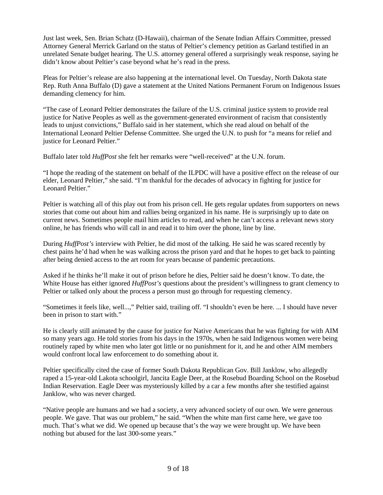Just last week, Sen. Brian Schatz (D-Hawaii), chairman of the Senate Indian Affairs Committee, pressed Attorney General Merrick Garland on the status of Peltier's clemency petition as Garland testified in an unrelated Senate budget hearing. The U.S. attorney general offered a surprisingly weak response, saying he didn't know about Peltier's case beyond what he's read in the press.

Pleas for Peltier's release are also happening at the international level. On Tuesday, North Dakota state Rep. Ruth Anna Buffalo (D) gave a statement at the United Nations Permanent Forum on Indigenous Issues demanding clemency for him.

"The case of Leonard Peltier demonstrates the failure of the U.S. criminal justice system to provide real justice for Native Peoples as well as the government-generated environment of racism that consistently leads to unjust convictions," Buffalo said in her statement, which she read aloud on behalf of the International Leonard Peltier Defense Committee. She urged the U.N. to push for "a means for relief and justice for Leonard Peltier."

Buffalo later told *HuffPost* she felt her remarks were "well-received" at the U.N. forum.

"I hope the reading of the statement on behalf of the ILPDC will have a positive effect on the release of our elder, Leonard Peltier," she said. "I'm thankful for the decades of advocacy in fighting for justice for Leonard Peltier."

Peltier is watching all of this play out from his prison cell. He gets regular updates from supporters on news stories that come out about him and rallies being organized in his name. He is surprisingly up to date on current news. Sometimes people mail him articles to read, and when he can't access a relevant news story online, he has friends who will call in and read it to him over the phone, line by line.

During *HuffPost's* interview with Peltier, he did most of the talking. He said he was scared recently by chest pains he'd had when he was walking across the prison yard and that he hopes to get back to painting after being denied access to the art room for years because of pandemic precautions.

Asked if he thinks he'll make it out of prison before he dies, Peltier said he doesn't know. To date, the White House has either ignored *HuffPost's* questions about the president's willingness to grant clemency to Peltier or talked only about the process a person must go through for requesting clemency.

"Sometimes it feels like, well...," Peltier said, trailing off. "I shouldn't even be here. ... I should have never been in prison to start with."

He is clearly still animated by the cause for justice for Native Americans that he was fighting for with AIM so many years ago. He told stories from his days in the 1970s, when he said Indigenous women were being routinely raped by white men who later got little or no punishment for it, and he and other AIM members would confront local law enforcement to do something about it.

Peltier specifically cited the case of former South Dakota Republican Gov. Bill Janklow, who allegedly raped a 15-year-old Lakota schoolgirl, Jancita Eagle Deer, at the Rosebud Boarding School on the Rosebud Indian Reservation. Eagle Deer was mysteriously killed by a car a few months after she testified against Janklow, who was never charged.

"Native people are humans and we had a society, a very advanced society of our own. We were generous people. We gave. That was our problem," he said. "When the white man first came here, we gave too much. That's what we did. We opened up because that's the way we were brought up. We have been nothing but abused for the last 300-some years."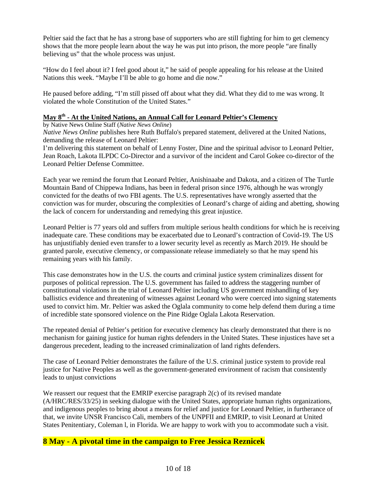Peltier said the fact that he has a strong base of supporters who are still fighting for him to get clemency shows that the more people learn about the way he was put into prison, the more people "are finally believing us" that the whole process was unjust.

"How do I feel about it? I feel good about it," he said of people appealing for his release at the United Nations this week. "Maybe I'll be able to go home and die now."

He paused before adding, "I'm still pissed off about what they did. What they did to me was wrong. It violated the whole Constitution of the United States."

# **May 8th - At the United Nations, an Annual Call for Leonard Peltier's Clemency**

by Native News Online Staff (*Native News Online*)

*Native News Online* publishes here Ruth Buffalo's prepared statement, delivered at the United Nations, demanding the release of Leonard Peltier:

I'm delivering this statement on behalf of Lenny Foster, Dine and the spiritual advisor to Leonard Peltier, Jean Roach, Lakota ILPDC Co-Director and a survivor of the incident and Carol Gokee co-director of the Leonard Peltier Defense Committee.

Each year we remind the forum that Leonard Peltier, Anishinaabe and Dakota, and a citizen of The Turtle Mountain Band of Chippewa Indians, has been in federal prison since 1976, although he was wrongly convicted for the deaths of two FBI agents. The U.S. representatives have wrongly asserted that the conviction was for murder, obscuring the complexities of Leonard's charge of aiding and abetting, showing the lack of concern for understanding and remedying this great injustice.

Leonard Peltier is 77 years old and suffers from multiple serious health conditions for which he is receiving inadequate care. These conditions may be exacerbated due to Leonard's contraction of Covid-19. The US has unjustifiably denied even transfer to a lower security level as recently as March 2019. He should be granted parole, executive clemency, or compassionate release immediately so that he may spend his remaining years with his family.

This case demonstrates how in the U.S. the courts and criminal justice system criminalizes dissent for purposes of political repression. The U.S. government has failed to address the staggering number of constitutional violations in the trial of Leonard Peltier including US government mishandling of key ballistics evidence and threatening of witnesses against Leonard who were coerced into signing statements used to convict him. Mr. Peltier was asked the Oglala community to come help defend them during a time of incredible state sponsored violence on the Pine Ridge Oglala Lakota Reservation.

The repeated denial of Peltier's petition for executive clemency has clearly demonstrated that there is no mechanism for gaining justice for human rights defenders in the United States. These injustices have set a dangerous precedent, leading to the increased criminalization of land rights defenders.

The case of Leonard Peltier demonstrates the failure of the U.S. criminal justice system to provide real justice for Native Peoples as well as the government-generated environment of racism that consistently leads to unjust convictions

We reassert our request that the EMRIP exercise paragraph  $2(c)$  of its revised mandate (A/HRC/RES/33/25) in seeking dialogue with the United States, appropriate human rights organizations, and indigenous peoples to bring about a means for relief and justice for Leonard Peltier, in furtherance of that, we invite UNSR Francisco Cali, members of the UNPFII and EMRIP, to visit Leonard at United States Penitentiary, Coleman l, in Florida. We are happy to work with you to accommodate such a visit.

# **8 May - A pivotal time in the campaign to Free Jessica Reznicek**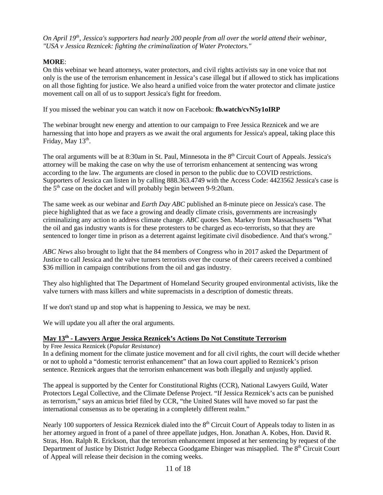*On April 19th, Jessica's supporters had nearly 200 people from all over the world attend their webinar, "USA v Jessica Reznicek: fighting the criminalization of Water Protectors."*

# **MORE**:

On this webinar we heard attorneys, water protectors, and civil rights activists say in one voice that not only is the use of the terrorism enhancement in Jessica's case illegal but if allowed to stick has implications on all those fighting for justice. We also heard a unified voice from the water protector and climate justice movement call on all of us to support Jessica's fight for freedom.

If you missed the webinar you can watch it now on Facebook: **fb.watch/cvN5y1oIRP**

The webinar brought new energy and attention to our campaign to Free Jessica Reznicek and we are harnessing that into hope and prayers as we await the oral arguments for Jessica's appeal, taking place this Friday, May  $13<sup>th</sup>$ .

The oral arguments will be at 8:30am in St. Paul, Minnesota in the 8<sup>th</sup> Circuit Court of Appeals. Jessica's attorney will be making the case on why the use of terrorism enhancement at sentencing was wrong according to the law. The arguments are closed in person to the public due to COVID restrictions. Supporters of Jessica can listen in by calling 888.363.4749 with the Access Code: 4423562 Jessica's case is the 5<sup>th</sup> case on the docket and will probably begin between 9-9:20am.

The same week as our webinar and *Earth Day ABC* published an 8-minute piece on Jessica's case. The piece highlighted that as we face a growing and deadly climate crisis, governments are increasingly criminalizing any action to address climate change. *ABC* quotes Sen. Markey from Massachusetts "What the oil and gas industry wants is for these protesters to be charged as eco-terrorists, so that they are sentenced to longer time in prison as a deterrent against legitimate civil disobedience. And that's wrong."

*ABC News* also brought to light that the 84 members of Congress who in 2017 asked the Department of Justice to call Jessica and the valve turners terrorists over the course of their careers received a combined \$36 million in campaign contributions from the oil and gas industry.

They also highlighted that The Department of Homeland Security grouped environmental activists, like the valve turners with mass killers and white supremacists in a description of domestic threats.

If we don't stand up and stop what is happening to Jessica, we may be next.

We will update you all after the oral arguments.

# **May 13th - Lawyers Argue Jessica Reznicek's Actions Do Not Constitute Terrorism**

by Free Jessica Reznicek (*Popular Resistance*)

In a defining moment for the climate justice movement and for all civil rights, the court will decide whether or not to uphold a "domestic terrorist enhancement" that an Iowa court applied to Reznicek's prison sentence. Reznicek argues that the terrorism enhancement was both illegally and unjustly applied.

The appeal is supported by the Center for Constitutional Rights (CCR), National Lawyers Guild, Water Protectors Legal Collective, and the Climate Defense Project. "If Jessica Reznicek's acts can be punished as terrorism," says an amicus brief filed by CCR, "the United States will have moved so far past the international consensus as to be operating in a completely different realm."

Nearly 100 supporters of Jessica Reznicek dialed into the 8<sup>th</sup> Circuit Court of Appeals today to listen in as her attorney argued in front of a panel of three appellate judges, Hon. Jonathan A. Kobes, Hon. David R. Stras, Hon. Ralph R. Erickson, that the terrorism enhancement imposed at her sentencing by request of the Department of Justice by District Judge Rebecca Goodgame Ebinger was misapplied. The 8<sup>th</sup> Circuit Court of Appeal will release their decision in the coming weeks.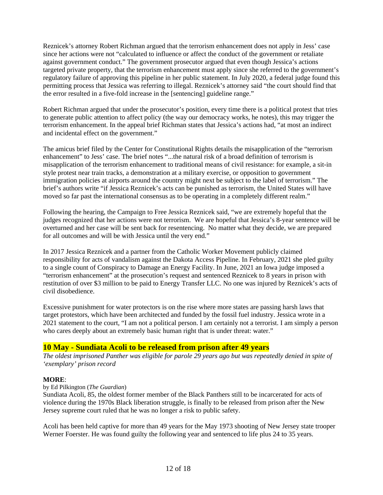Reznicek's attorney Robert Richman argued that the terrorism enhancement does not apply in Jess' case since her actions were not "calculated to influence or affect the conduct of the government or retaliate against government conduct." The government prosecutor argued that even though Jessica's actions targeted private property, that the terrorism enhancement must apply since she referred to the government's regulatory failure of approving this pipeline in her public statement. In July 2020, a federal judge found this permitting process that Jessica was referring to illegal. Reznicek's attorney said "the court should find that the error resulted in a five-fold increase in the [sentencing] guideline range."

Robert Richman argued that under the prosecutor's position, every time there is a political protest that tries to generate public attention to affect policy (the way our democracy works, he notes), this may trigger the terrorism enhancement. In the appeal brief Richman states that Jessica's actions had, "at most an indirect and incidental effect on the government."

The amicus brief filed by the Center for Constitutional Rights details the misapplication of the "terrorism enhancement" to Jess' case. The brief notes "...the natural risk of a broad definition of terrorism is misapplication of the terrorism enhancement to traditional means of civil resistance: for example, a sit-in style protest near train tracks, a demonstration at a military exercise, or opposition to government immigration policies at airports around the country might next be subject to the label of terrorism." The brief's authors write "if Jessica Reznicek's acts can be punished as terrorism, the United States will have moved so far past the international consensus as to be operating in a completely different realm."

Following the hearing, the Campaign to Free Jessica Reznicek said, "we are extremely hopeful that the judges recognized that her actions were not terrorism. We are hopeful that Jessica's 8-year sentence will be overturned and her case will be sent back for resentencing. No matter what they decide, we are prepared for all outcomes and will be with Jessica until the very end."

In 2017 Jessica Reznicek and a partner from the Catholic Worker Movement publicly claimed responsibility for acts of vandalism against the Dakota Access Pipeline. In February, 2021 she pled guilty to a single count of Conspiracy to Damage an Energy Facility. In June, 2021 an Iowa judge imposed a "terrorism enhancement" at the prosecution's request and sentenced Reznicek to 8 years in prison with restitution of over \$3 million to be paid to Energy Transfer LLC. No one was injured by Reznicek's acts of civil disobedience.

Excessive punishment for water protectors is on the rise where more states are passing harsh laws that target protestors, which have been architected and funded by the fossil fuel industry. Jessica wrote in a 2021 statement to the court, "I am not a political person. I am certainly not a terrorist. I am simply a person who cares deeply about an extremely basic human right that is under threat: water."

# **10 May - Sundiata Acoli to be released from prison after 49 years**

*The oldest imprisoned Panther was eligible for parole 29 years ago but was repeatedly denied in spite of 'exemplary' prison record*

#### **MORE**:

#### by Ed Pilkington (*The Guardian*)

Sundiata Acoli, 85, the oldest former member of the Black Panthers still to be incarcerated for acts of violence during the 1970s Black liberation struggle, is finally to be released from prison after the New Jersey supreme court ruled that he was no longer a risk to public safety.

Acoli has been held captive for more than 49 years for the May 1973 shooting of New Jersey state trooper Werner Foerster. He was found guilty the following year and sentenced to life plus 24 to 35 years.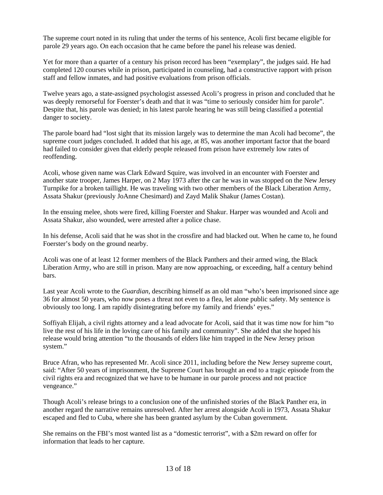The supreme court noted in its ruling that under the terms of his sentence, Acoli first became eligible for parole 29 years ago. On each occasion that he came before the panel his release was denied.

Yet for more than a quarter of a century his prison record has been "exemplary", the judges said. He had completed 120 courses while in prison, participated in counseling, had a constructive rapport with prison staff and fellow inmates, and had positive evaluations from prison officials.

Twelve years ago, a state-assigned psychologist assessed Acoli's progress in prison and concluded that he was deeply remorseful for Foerster's death and that it was "time to seriously consider him for parole". Despite that, his parole was denied; in his latest parole hearing he was still being classified a potential danger to society.

The parole board had "lost sight that its mission largely was to determine the man Acoli had become", the supreme court judges concluded. It added that his age, at 85, was another important factor that the board had failed to consider given that elderly people released from prison have extremely low rates of reoffending.

Acoli, whose given name was Clark Edward Squire, was involved in an encounter with Foerster and another state trooper, James Harper, on 2 May 1973 after the car he was in was stopped on the New Jersey Turnpike for a broken taillight. He was traveling with two other members of the Black Liberation Army, Assata Shakur (previously JoAnne Chesimard) and Zayd Malik Shakur (James Costan).

In the ensuing melee, shots were fired, killing Foerster and Shakur. Harper was wounded and Acoli and Assata Shakur, also wounded, were arrested after a police chase.

In his defense, Acoli said that he was shot in the crossfire and had blacked out. When he came to, he found Foerster's body on the ground nearby.

Acoli was one of at least 12 former members of the Black Panthers and their armed wing, the Black Liberation Army, who are still in prison. Many are now approaching, or exceeding, half a century behind bars.

Last year Acoli wrote to the *Guardian*, describing himself as an old man "who's been imprisoned since age 36 for almost 50 years, who now poses a threat not even to a flea, let alone public safety. My sentence is obviously too long. I am rapidly disintegrating before my family and friends' eyes."

Soffiyah Elijah, a civil rights attorney and a lead advocate for Acoli, said that it was time now for him "to live the rest of his life in the loving care of his family and community". She added that she hoped his release would bring attention "to the thousands of elders like him trapped in the New Jersey prison system."

Bruce Afran, who has represented Mr. Acoli since 2011, including before the New Jersey supreme court, said: "After 50 years of imprisonment, the Supreme Court has brought an end to a tragic episode from the civil rights era and recognized that we have to be humane in our parole process and not practice vengeance."

Though Acoli's release brings to a conclusion one of the unfinished stories of the Black Panther era, in another regard the narrative remains unresolved. After her arrest alongside Acoli in 1973, Assata Shakur escaped and fled to Cuba, where she has been granted asylum by the Cuban government.

She remains on the FBI's most wanted list as a "domestic terrorist", with a \$2m reward on offer for information that leads to her capture.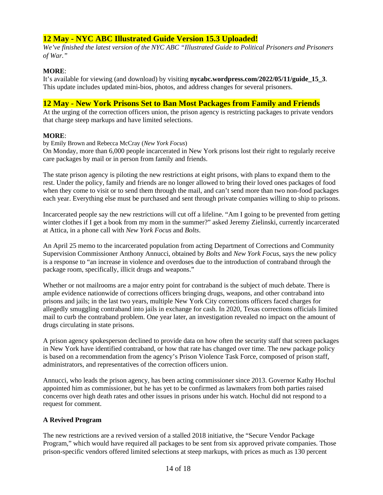# **12 May - NYC ABC Illustrated Guide Version 15.3 Uploaded!**

*We've finished the latest version of the NYC ABC "Illustrated Guide to Political Prisoners and Prisoners of War."*

#### **MORE**:

It's available for viewing (and download) by visiting **nycabc.wordpress.com/2022/05/11/guide\_15\_3**. This update includes updated mini-bios, photos, and address changes for several prisoners.

# **12 May - New York Prisons Set to Ban Most Packages from Family and Friends**

At the urging of the correction officers union, the prison agency is restricting packages to private vendors that charge steep markups and have limited selections.

#### **MORE**:

by Emily Brown and Rebecca McCray (*New York Focus*)

On Monday, more than 6,000 people incarcerated in New York prisons lost their right to regularly receive care packages by mail or in person from family and friends.

The state prison agency is piloting the new restrictions at eight prisons, with plans to expand them to the rest. Under the policy, family and friends are no longer allowed to bring their loved ones packages of food when they come to visit or to send them through the mail, and can't send more than two non-food packages each year. Everything else must be purchased and sent through private companies willing to ship to prisons.

Incarcerated people say the new restrictions will cut off a lifeline. "Am I going to be prevented from getting winter clothes if I get a book from my mom in the summer?" asked Jeremy Zielinski, currently incarcerated at Attica, in a phone call with *New York Focus* and *Bolts*.

An April 25 memo to the incarcerated population from acting Department of Corrections and Community Supervision Commissioner Anthony Annucci, obtained by *Bolts* and *New York Focus*, says the new policy is a response to "an increase in violence and overdoses due to the introduction of contraband through the package room, specifically, illicit drugs and weapons."

Whether or not mailrooms are a major entry point for contraband is the subject of much debate. There is ample evidence nationwide of corrections officers bringing drugs, weapons, and other contraband into prisons and jails; in the last two years, multiple New York City corrections officers faced charges for allegedly smuggling contraband into jails in exchange for cash. In 2020, Texas corrections officials limited mail to curb the contraband problem. One year later, an investigation revealed no impact on the amount of drugs circulating in state prisons.

A prison agency spokesperson declined to provide data on how often the security staff that screen packages in New York have identified contraband, or how that rate has changed over time. The new package policy is based on a recommendation from the agency's Prison Violence Task Force, composed of prison staff, administrators, and representatives of the correction officers union.

Annucci, who leads the prison agency, has been acting commissioner since 2013. Governor Kathy Hochul appointed him as commissioner, but he has yet to be confirmed as lawmakers from both parties raised concerns over high death rates and other issues in prisons under his watch. Hochul did not respond to a request for comment.

# **A Revived Program**

The new restrictions are a revived version of a stalled 2018 initiative, the "Secure Vendor Package Program," which would have required all packages to be sent from six approved private companies. Those prison-specific vendors offered limited selections at steep markups, with prices as much as 130 percent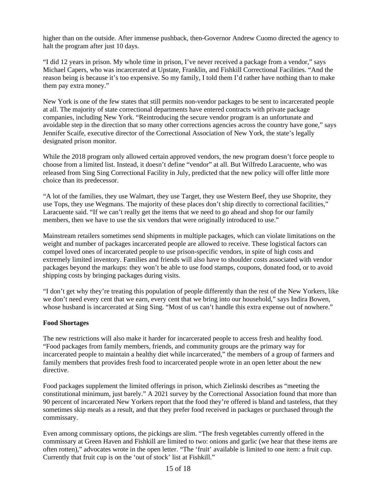higher than on the outside. After immense pushback, then-Governor Andrew Cuomo directed the agency to halt the program after just 10 days.

"I did 12 years in prison. My whole time in prison, I've never received a package from a vendor," says Michael Capers, who was incarcerated at Upstate, Franklin, and Fishkill Correctional Facilities. "And the reason being is because it's too expensive. So my family, I told them I'd rather have nothing than to make them pay extra money."

New York is one of the few states that still permits non-vendor packages to be sent to incarcerated people at all. The majority of state correctional departments have entered contracts with private package companies, including New York. "Reintroducing the secure vendor program is an unfortunate and avoidable step in the direction that so many other corrections agencies across the country have gone," says Jennifer Scaife, executive director of the Correctional Association of New York, the state's legally designated prison monitor.

While the 2018 program only allowed certain approved vendors, the new program doesn't force people to choose from a limited list. Instead, it doesn't define "vendor" at all. But Wilfredo Laracuente, who was released from Sing Sing Correctional Facility in July, predicted that the new policy will offer little more choice than its predecessor.

"A lot of the families, they use Walmart, they use Target, they use Western Beef, they use Shoprite, they use Tops, they use Wegmans. The majority of these places don't ship directly to correctional facilities," Laracuente said. "If we can't really get the items that we need to go ahead and shop for our family members, then we have to use the six vendors that were originally introduced to use."

Mainstream retailers sometimes send shipments in multiple packages, which can violate limitations on the weight and number of packages incarcerated people are allowed to receive. These logistical factors can compel loved ones of incarcerated people to use prison-specific vendors, in spite of high costs and extremely limited inventory. Families and friends will also have to shoulder costs associated with vendor packages beyond the markups: they won't be able to use food stamps, coupons, donated food, or to avoid shipping costs by bringing packages during visits.

"I don't get why they're treating this population of people differently than the rest of the New Yorkers, like we don't need every cent that we earn, every cent that we bring into our household," says Indira Bowen, whose husband is incarcerated at Sing Sing. "Most of us can't handle this extra expense out of nowhere."

#### **Food Shortages**

The new restrictions will also make it harder for incarcerated people to access fresh and healthy food. "Food packages from family members, friends, and community groups are the primary way for incarcerated people to maintain a healthy diet while incarcerated," the members of a group of farmers and family members that provides fresh food to incarcerated people wrote in an open letter about the new directive.

Food packages supplement the limited offerings in prison, which Zielinski describes as "meeting the constitutional minimum, just barely." A 2021 survey by the Correctional Association found that more than 90 percent of incarcerated New Yorkers report that the food they're offered is bland and tasteless, that they sometimes skip meals as a result, and that they prefer food received in packages or purchased through the commissary.

Even among commissary options, the pickings are slim. "The fresh vegetables currently offered in the commissary at Green Haven and Fishkill are limited to two: onions and garlic (we hear that these items are often rotten)," advocates wrote in the open letter. "The 'fruit' available is limited to one item: a fruit cup. Currently that fruit cup is on the 'out of stock' list at Fishkill."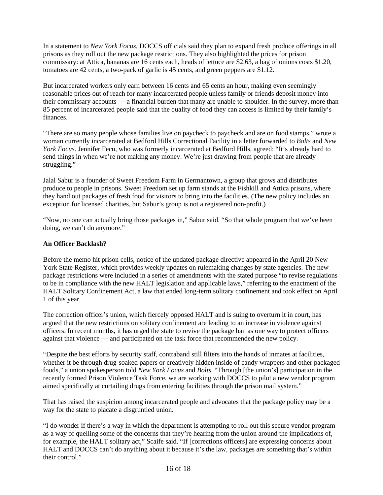In a statement to *New York Focus*, DOCCS officials said they plan to expand fresh produce offerings in all prisons as they roll out the new package restrictions. They also highlighted the prices for prison commissary: at Attica, bananas are 16 cents each, heads of lettuce are \$2.63, a bag of onions costs \$1.20, tomatoes are 42 cents, a two-pack of garlic is 45 cents, and green peppers are \$1.12.

But incarcerated workers only earn between 16 cents and 65 cents an hour, making even seemingly reasonable prices out of reach for many incarcerated people unless family or friends deposit money into their commissary accounts — a financial burden that many are unable to shoulder. In the survey, more than 85 percent of incarcerated people said that the quality of food they can access is limited by their family's finances.

"There are so many people whose families live on paycheck to paycheck and are on food stamps," wrote a woman currently incarcerated at Bedford Hills Correctional Facility in a letter forwarded to *Bolts* and *New York Focus*. Jennifer Fecu, who was formerly incarcerated at Bedford Hills, agreed: "It's already hard to send things in when we're not making any money. We're just drawing from people that are already struggling."

Jalal Sabur is a founder of Sweet Freedom Farm in Germantown, a group that grows and distributes produce to people in prisons. Sweet Freedom set up farm stands at the Fishkill and Attica prisons, where they hand out packages of fresh food for visitors to bring into the facilities. (The new policy includes an exception for licensed charities, but Sabur's group is not a registered non-profit.)

"Now, no one can actually bring those packages in," Sabur said. "So that whole program that we've been doing, we can't do anymore."

# **An Officer Backlash?**

Before the memo hit prison cells, notice of the updated package directive appeared in the April 20 New York State Register, which provides weekly updates on rulemaking changes by state agencies. The new package restrictions were included in a series of amendments with the stated purpose "to revise regulations to be in compliance with the new HALT legislation and applicable laws," referring to the enactment of the HALT Solitary Confinement Act, a law that ended long-term solitary confinement and took effect on April 1 of this year.

The correction officer's union, which fiercely opposed HALT and is suing to overturn it in court, has argued that the new restrictions on solitary confinement are leading to an increase in violence against officers. In recent months, it has urged the state to revive the package ban as one way to protect officers against that violence — and participated on the task force that recommended the new policy.

"Despite the best efforts by security staff, contraband still filters into the hands of inmates at facilities, whether it be through drug-soaked papers or creatively hidden inside of candy wrappers and other packaged foods," a union spokesperson told *New York Focus* and *Bolts*. "Through [the union's] participation in the recently formed Prison Violence Task Force, we are working with DOCCS to pilot a new vendor program aimed specifically at curtailing drugs from entering facilities through the prison mail system."

That has raised the suspicion among incarcerated people and advocates that the package policy may be a way for the state to placate a disgruntled union.

"I do wonder if there's a way in which the department is attempting to roll out this secure vendor program as a way of quelling some of the concerns that they're hearing from the union around the implications of, for example, the HALT solitary act," Scaife said. "If [corrections officers] are expressing concerns about HALT and DOCCS can't do anything about it because it's the law, packages are something that's within their control."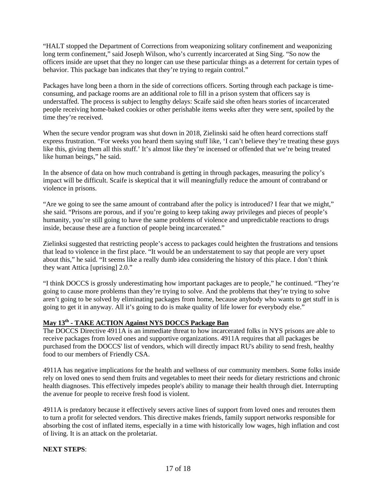"HALT stopped the Department of Corrections from weaponizing solitary confinement and weaponizing long term confinement," said Joseph Wilson, who's currently incarcerated at Sing Sing. "So now the officers inside are upset that they no longer can use these particular things as a deterrent for certain types of behavior. This package ban indicates that they're trying to regain control."

Packages have long been a thorn in the side of corrections officers. Sorting through each package is timeconsuming, and package rooms are an additional role to fill in a prison system that officers say is understaffed. The process is subject to lengthy delays: Scaife said she often hears stories of incarcerated people receiving home-baked cookies or other perishable items weeks after they were sent, spoiled by the time they're received.

When the secure vendor program was shut down in 2018, Zielinski said he often heard corrections staff express frustration. "For weeks you heard them saying stuff like, 'I can't believe they're treating these guys like this, giving them all this stuff.' It's almost like they're incensed or offended that we're being treated like human beings," he said.

In the absence of data on how much contraband is getting in through packages, measuring the policy's impact will be difficult. Scaife is skeptical that it will meaningfully reduce the amount of contraband or violence in prisons.

"Are we going to see the same amount of contraband after the policy is introduced? I fear that we might," she said. "Prisons are porous, and if you're going to keep taking away privileges and pieces of people's humanity, you're still going to have the same problems of violence and unpredictable reactions to drugs inside, because these are a function of people being incarcerated."

Zielinksi suggested that restricting people's access to packages could heighten the frustrations and tensions that lead to violence in the first place. "It would be an understatement to say that people are very upset about this," he said. "It seems like a really dumb idea considering the history of this place. I don't think they want Attica [uprising] 2.0."

"I think DOCCS is grossly underestimating how important packages are to people," he continued. "They're going to cause more problems than they're trying to solve. And the problems that they're trying to solve aren't going to be solved by eliminating packages from home, because anybody who wants to get stuff in is going to get it in anyway. All it's going to do is make quality of life lower for everybody else."

# **May 13th - TAKE ACTION Against NYS DOCCS Package Ban**

The DOCCS Directive 4911A is an immediate threat to how incarcerated folks in NYS prisons are able to receive packages from loved ones and supportive organizations. 4911A requires that all packages be purchased from the DOCCS' list of vendors, which will directly impact RU's ability to send fresh, healthy food to our members of Friendly CSA.

4911A has negative implications for the health and wellness of our community members. Some folks inside rely on loved ones to send them fruits and vegetables to meet their needs for dietary restrictions and chronic health diagnoses. This effectively impedes people's ability to manage their health through diet. Interrupting the avenue for people to receive fresh food is violent.

4911A is predatory because it effectively severs active lines of support from loved ones and reroutes them to turn a profit for selected vendors. This directive makes friends, family support networks responsible for absorbing the cost of inflated items, especially in a time with historically low wages, high inflation and cost of living. It is an attack on the proletariat.

# **NEXT STEPS**: